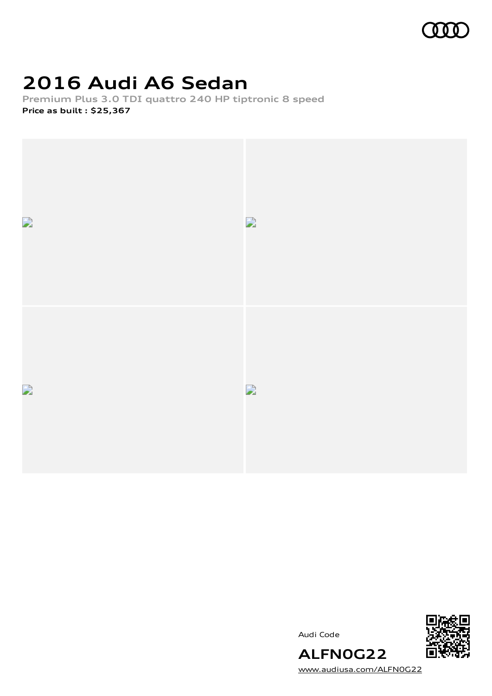

# **2016 Audi A6 Sedan**

**Premium Plus 3.0 TDI quattro 240 HP tiptronic 8 speed Price as built [:](#page-8-0) \$25,367**



Audi Code



[www.audiusa.com/ALFN0G22](https://www.audiusa.com/ALFN0G22)

**ALFN0G22**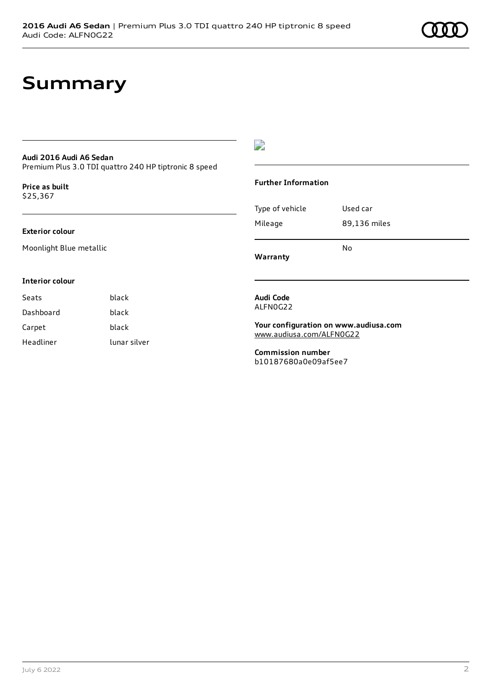## **Summary**

#### **Audi 2016 Audi A6 Sedan**

Premium Plus 3.0 TDI quattro 240 HP tiptronic 8 speed

**Price as buil[t](#page-8-0)** \$25,367

#### **Exterior colour**

Moonlight Blue metallic

#### $\overline{\phantom{a}}$

#### **Further Information**

|                 | No           |
|-----------------|--------------|
| Mileage         | 89,136 miles |
| Type of vehicle | Used car     |

**Warranty**

#### **Interior colour**

Seats **black** Dashboard black Carpet black Headliner lunar silver

#### **Audi Code** ALFN0G22

**Your configuration on www.audiusa.com** [www.audiusa.com/ALFN0G22](https://www.audiusa.com/ALFN0G22)

**Commission number** b10187680a0e09af5ee7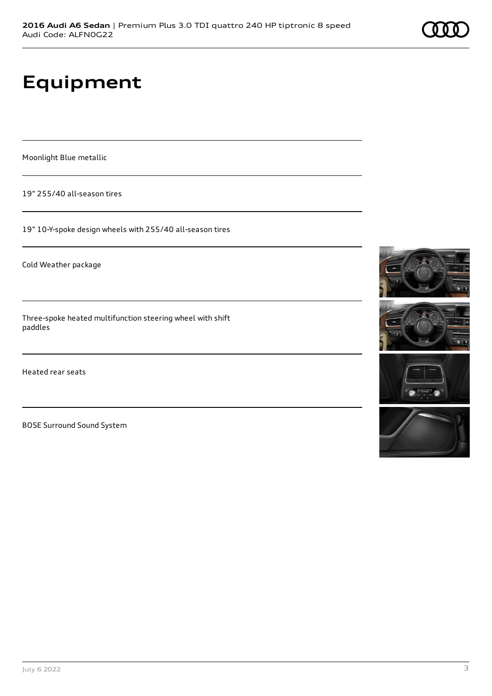# **Equipment**

Moonlight Blue metallic

19" 255/40 all-season tires

19" 10-Y-spoke design wheels with 255/40 all-season tires

Cold Weather package

Three-spoke heated multifunction steering wheel with shift paddles

Heated rear seats

BOSE Surround Sound System







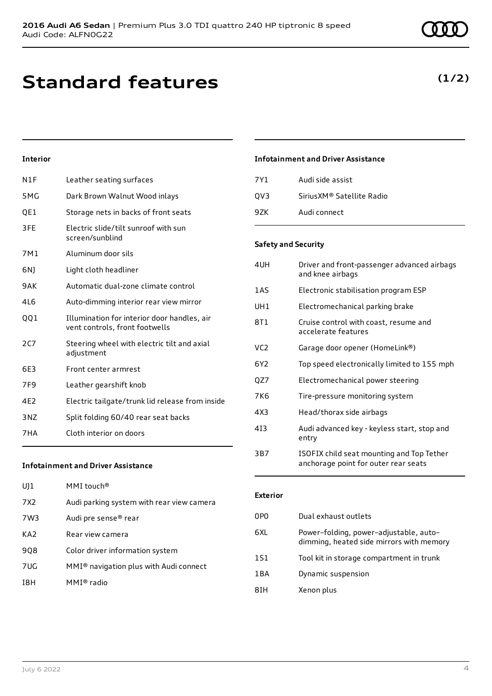# **Standard features**

### **Interior**

| N1F             | Leather seating surfaces                                                      |
|-----------------|-------------------------------------------------------------------------------|
| 5MG             | Dark Brown Walnut Wood inlays                                                 |
| QE1             | Storage nets in backs of front seats                                          |
| 3FE             | Electric slide/tilt sunroof with sun<br>screen/sunblind                       |
| 7M1             | Aluminum door sils                                                            |
| 6N)             | Light cloth headliner                                                         |
| 9AK             | Automatic dual-zone climate control                                           |
| 416             | Auto-dimming interior rear view mirror                                        |
| QQ1             | Illumination for interior door handles, air<br>vent controls, front footwells |
| 2C              | Steering wheel with electric tilt and axial<br>adjustment                     |
| 6E3             | Front center armrest                                                          |
| 7F9             | Leather gearshift knob                                                        |
| 4F <sub>2</sub> | Electric tailgate/trunk lid release from inside                               |
| 3NZ             | Split folding 60/40 rear seat backs                                           |
| 7HA             | Cloth interior on doors                                                       |
|                 |                                                                               |

### **Infotainment and Driver Assistance**

| 7Y1 | Audi side assist           |
|-----|----------------------------|
| OV3 | Sirius XM® Satellite Radio |
| 97K | Audi connect               |

#### **Safety and Security**

| 4UH             | Driver and front-passenger advanced airbags<br>and knee airbags                   |
|-----------------|-----------------------------------------------------------------------------------|
| 1AS             | Electronic stabilisation program ESP                                              |
| UH1             | Electromechanical parking brake                                                   |
| 8T 1            | Cruise control with coast, resume and<br>accelerate features                      |
| VC <sub>2</sub> | Garage door opener (HomeLink®)                                                    |
| 6Y2             | Top speed electronically limited to 155 mph                                       |
| QZ7             | Electromechanical power steering                                                  |
| 7K6             | Tire-pressure monitoring system                                                   |
| 4X3             | Head/thorax side airbags                                                          |
| 413             | Audi advanced key - keyless start, stop and<br>entry                              |
| 3B7             | ISOFIX child seat mounting and Top Tether<br>anchorage point for outer rear seats |

#### **Infotainment and Driver Assistance**

| U11             | MMI touch®                                |
|-----------------|-------------------------------------------|
| 7X2             | Audi parking system with rear view camera |
| 7W3             | Audi pre sense® rear                      |
| KA <sub>2</sub> | Rear view camera                          |
| 908             | Color driver information system           |
| 7UG.            | MMI® navigation plus with Audi connect    |
| 18H             | MMI® radio                                |

#### **Exterior**

| 0PO | Dual exhaust outlets                                                               |
|-----|------------------------------------------------------------------------------------|
| 6XL | Power-folding, power-adjustable, auto-<br>dimming, heated side mirrors with memory |
| 1S1 | Tool kit in storage compartment in trunk                                           |
| 1BA | Dynamic suspension                                                                 |
| 8IH | Xenon plus                                                                         |

### **(1/2)**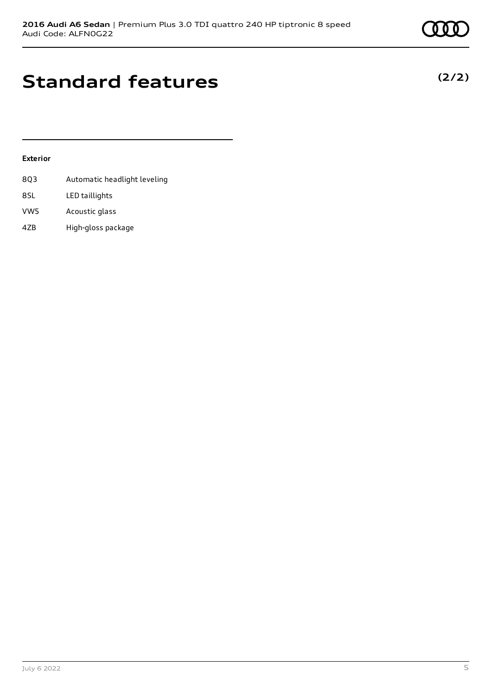## **Standard features**

#### **Exterior**

- 8Q3 Automatic headlight leveling 8SL LED taillights
- VW5 Acoustic glass
- 4ZB High-gloss package

### **(2/2)**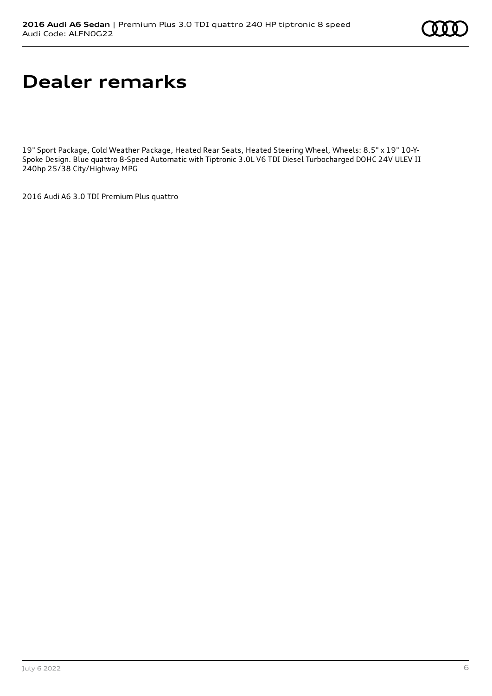# **Dealer remarks**

19" Sport Package, Cold Weather Package, Heated Rear Seats, Heated Steering Wheel, Wheels: 8.5" x 19" 10-Y-Spoke Design. Blue quattro 8-Speed Automatic with Tiptronic 3.0L V6 TDI Diesel Turbocharged DOHC 24V ULEV II 240hp 25/38 City/Highway MPG

2016 Audi A6 3.0 TDI Premium Plus quattro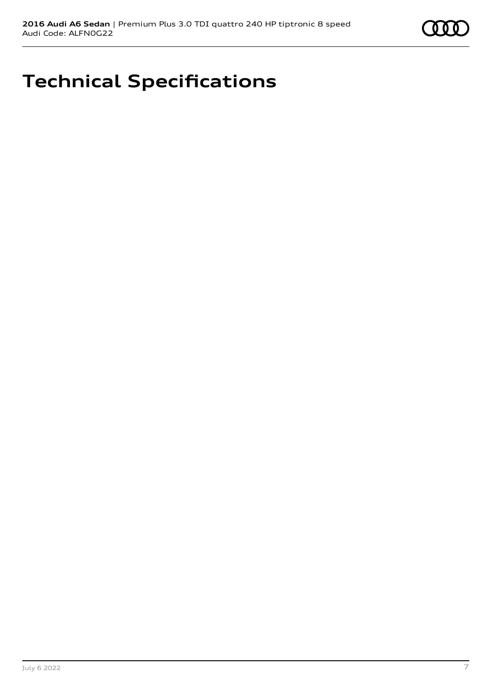

# **Technical Specifications**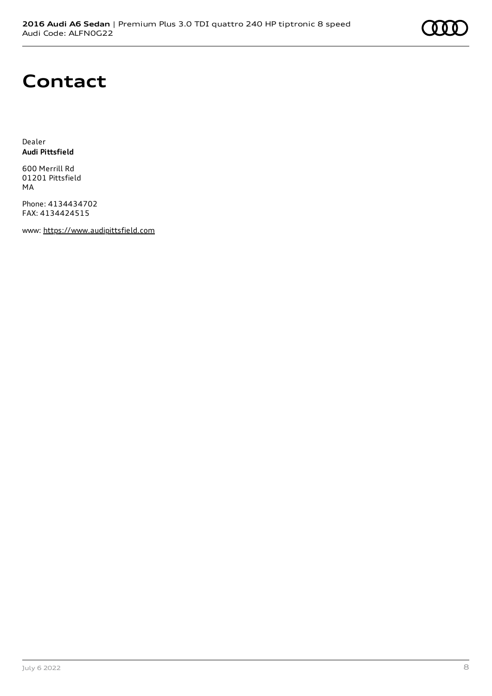

## **Contact**

Dealer **Audi Pittsfield**

600 Merrill Rd 01201 Pittsfield MA

Phone: 4134434702 FAX: 4134424515

www: [https://www.audipittsfield.com](https://www.audipittsfield.com/)